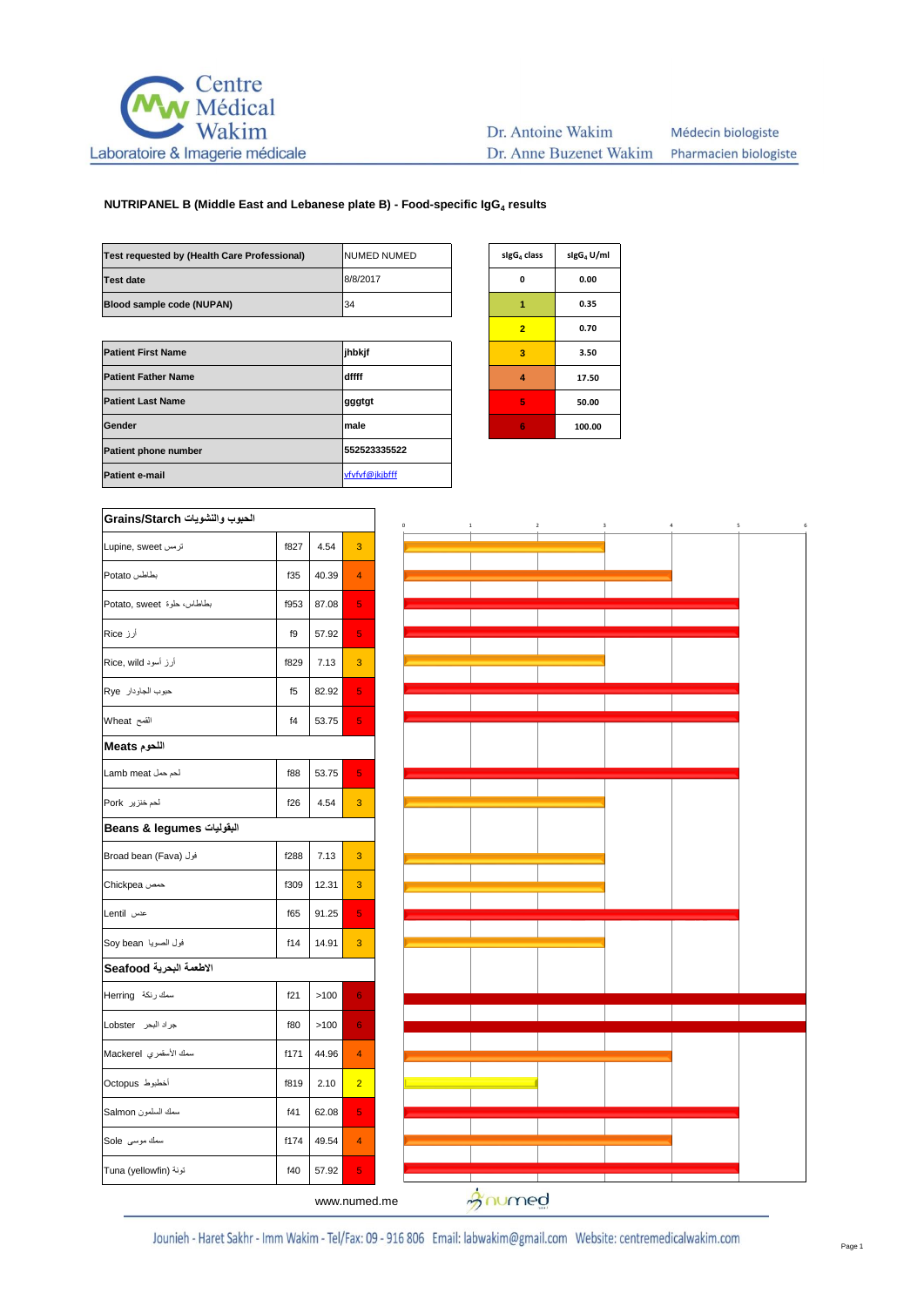

#### Dr. Antoine Wakim Médecin biologiste Dr. Anne Buzenet Wakim Pharmacien biologiste

## **NUTRIPANEL B (Middle East and Lebanese plate B) - Food-specific IgG<sup>4</sup> results**

| Test requested by (Health Care Professional) | INUMED NUMED   | sigG <sub>4</sub> class | sigG <sub>4</sub> U |
|----------------------------------------------|----------------|-------------------------|---------------------|
| <b>Test date</b>                             | 8/8/2017       | 0                       | 0.00                |
| Blood sample code (NUPAN)                    | 34             | 1                       | 0.35                |
|                                              |                | $\overline{2}$          | 0.70                |
| <b>Patient First Name</b>                    | jhbkjf         | 3                       | 3.50                |
| <b>Patient Father Name</b>                   | dffff          | 4                       | 17.5                |
| <b>Patient Last Name</b>                     | gggtgt         | 5                       | 50.0                |
| Gender                                       | male           | 6                       | 100.0               |
| Patient phone number                         | 552523335522   |                         |                     |
| <b>Patient e-mail</b>                        | vfvfvf@jkjbfff |                         |                     |

| sigG <sub>4</sub> class | sigG <sub>4</sub> U/ml |  |  |
|-------------------------|------------------------|--|--|
| O                       | 0.00                   |  |  |
| 1                       | 0.35                   |  |  |
| $\overline{2}$          | 0.70                   |  |  |
| 3                       | 3.50                   |  |  |
| 4                       | 17.50                  |  |  |
| 5                       | 50.00                  |  |  |
| 6                       | 100.00                 |  |  |

| الحبوب والنشويات Grains/Starch |                |       |                |  |  |
|--------------------------------|----------------|-------|----------------|--|--|
| <b>Lupine, sweet</b> ترمس      | f827           | 4.54  | 3              |  |  |
| بطاطس Potato                   | f35            | 40.39 | $\overline{4}$ |  |  |
| بطاطاس، حلوة Potato, sweet     | f953           | 87.08 | 5              |  |  |
| أرز Rice                       | f9             | 57.92 | 5              |  |  |
| أرز أسود Rice, wild            | f829           | 7.13  | 3              |  |  |
| حبوب الجاودار Rye              | f <sub>5</sub> | 82.92 | 5              |  |  |
| القمح Wheat                    | f4             | 53.75 | 5              |  |  |
| اللحوم Meats                   |                |       |                |  |  |
| لحم حمل Lamb meat              | f88            | 53.75 | 5              |  |  |
| لحم خنزیر Pork                 | f26            | 4.54  | 3              |  |  |
| Beans & legumes                |                |       |                |  |  |
| فول (Broad bean (Fava          | f288           | 7.13  | 3              |  |  |
| حمص Chickpea                   | f309           | 12.31 | 3              |  |  |
| عدس Lentil                     | f65            | 91.25 | 5              |  |  |
| فول الصويا Soy bean            | f14            | 14.91 | 3              |  |  |
| الاطعمة البحرية Seafood        |                |       |                |  |  |
| سمك رنكة Herring               | f21            | >100  | 6              |  |  |
| جراد البحر Lobster             | f80            | >100  | 6              |  |  |
| سمك الأسقمري Mackerel          | f171           | 44.96 | 4              |  |  |
| أخطبوط Octopus                 | f819           | 2.10  | $\overline{2}$ |  |  |
| سمك السلمون Salmon             | f41            | 62.08 | 5              |  |  |
| سمك موسى Sole                  | f174           | 49.54 | 4              |  |  |
| تونة (Tuna (yellowfin          | f40            | 57.92 | 5              |  |  |



www.numed.me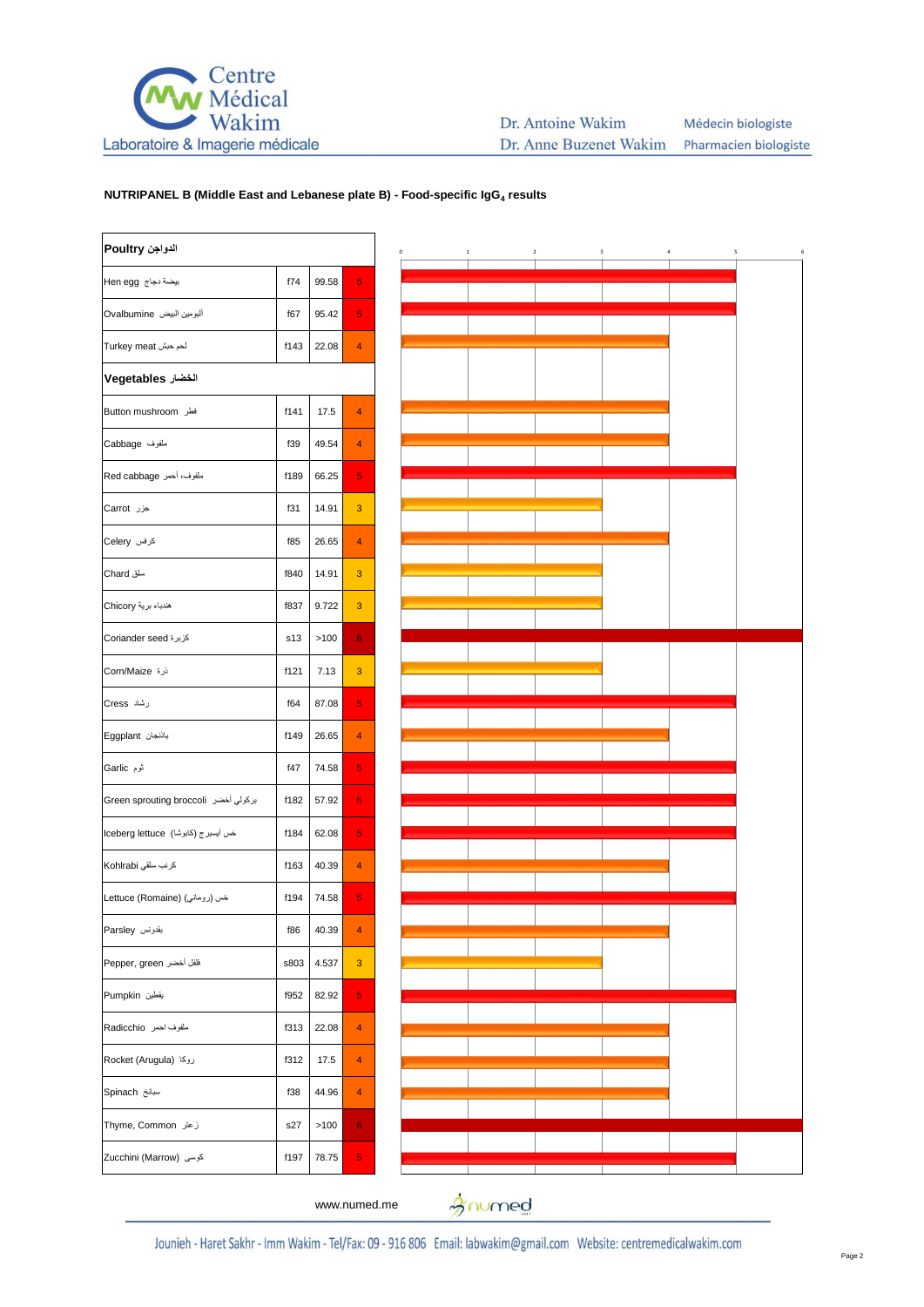

## **NUTRIPANEL B (Middle East and Lebanese plate B) - Food-specific IgG<sup>4</sup> results**

| الدواجن Poultry                      |      |       |                |
|--------------------------------------|------|-------|----------------|
| بيضة دجاج Hen egg                    | f74  | 99.58 | 5              |
| ألبومين البيض Ovalbumine             | f67  | 95.42 | 5              |
| لحم حبش Turkey meat                  | f143 | 22.08 | 4              |
| الخضار Vegetables                    |      |       |                |
| فطر Button mushroom                  | f141 | 17.5  | $\overline{4}$ |
| ملفوف Cabbage                        | f39  | 49.54 | 4              |
| ملفوف، أحمر Red cabbage              | f189 | 66.25 | 5              |
| جزر Carrot                           | f31  | 14.91 | 3              |
| کرفس Celery                          | f85  | 26.65 | $\overline{4}$ |
| سلق Chard                            | f840 | 14.91 | 3              |
| هندباء برية Chicory                  | f837 | 9.722 | 3              |
| كزبرة Coriander seed                 | s13  | >100  | 6              |
| ذرة Corn/Maize                       | f121 | 7.13  | 3              |
| رشاد Cress                           | f64  | 87.08 | 5              |
| باذنجان Eggplant                     | f149 | 26.65 | 4              |
| ٹوم Garlic                           | f47  | 74.58 | 5              |
| بركولي أخضر Green sprouting broccoli | f182 | 57.92 | 5              |
| خس أيسبرج (كابوشا)  lceberg lettuce  | f184 | 62.08 | 5              |
| كرنب سلقى Kohlrabi                   | f163 | 40.39 | 4              |
| خس (رومانی) (Lettuce (Romaine        | f194 | 74.58 | 5              |
| بقدونس Parsley                       | f86  | 40.39 |                |
| فلفل أخضر Pepper, green              | s803 | 4.537 | 3              |
| يقطين Pumpkin                        | f952 | 82.92 | 5              |
| ملفوف احمر Radicchio                 | f313 | 22.08 | 4              |
| روكا (Rocket (Arugula                | f312 | 17.5  | 4              |
| سبانخ Spinach                        | f38  | 44.96 | 4              |
| زعتر Thyme, Common                   | s27  | >100  | 6              |
| كوسى (Marrow) كوسى                   | f197 | 78.75 | 5              |
|                                      |      |       |                |



gnumed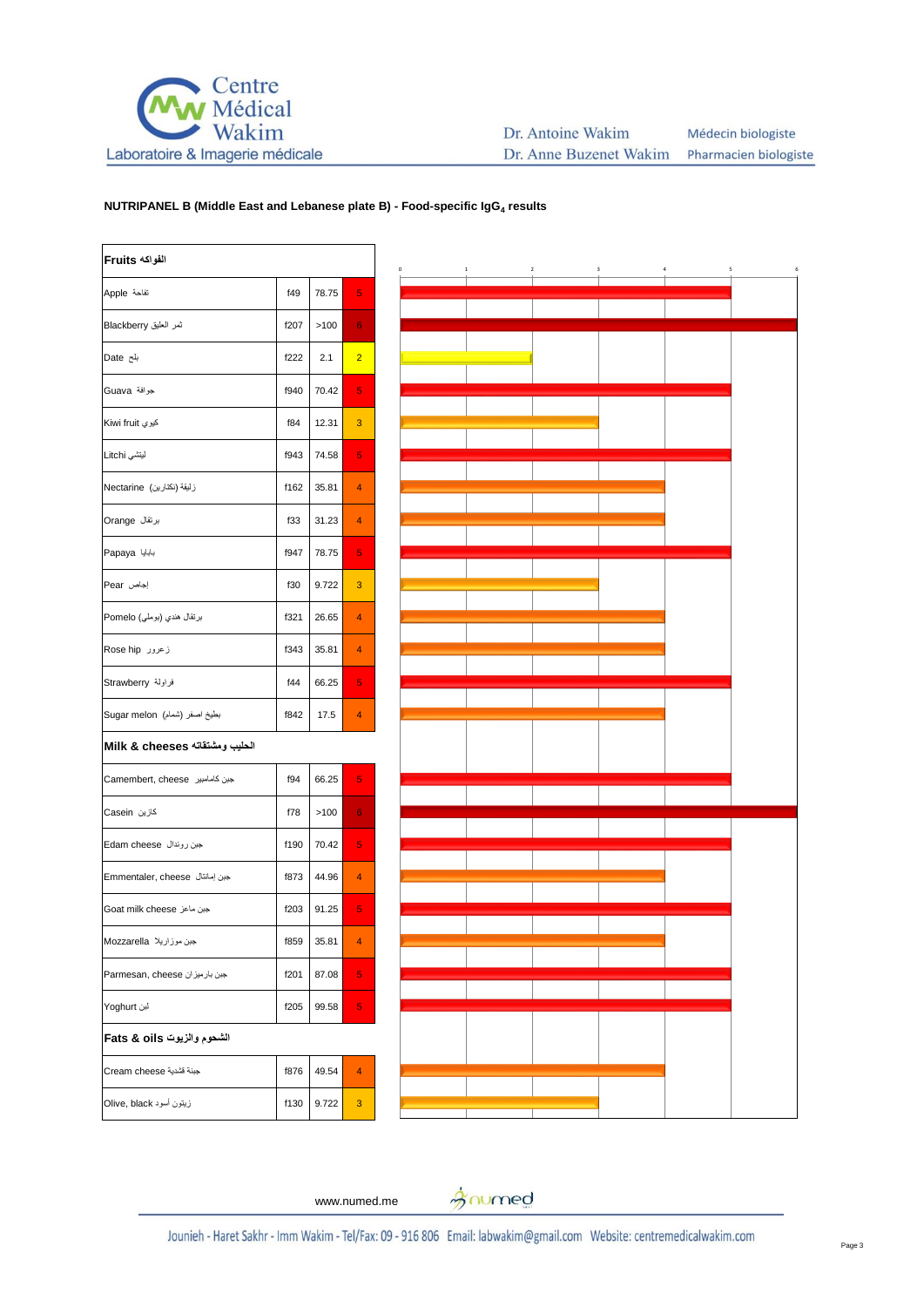

## **NUTRIPANEL B (Middle East and Lebanese plate B) - Food-specific IgG<sup>4</sup> results**

| الفواكه Fruits                 |      |       |                |  |
|--------------------------------|------|-------|----------------|--|
| تفاحة Apple                    | f49  | 78.75 | 5              |  |
| ثمر العليق Blackberry          | f207 | >100  | 6              |  |
| بلح Date                       | f222 | 2.1   | $\overline{2}$ |  |
| جرافة Guava                    | f940 | 70.42 | 5              |  |
| کيوي Kiwi fruit                | f84  | 12.31 | 3              |  |
| لينتشى Litchi                  | f943 | 74.58 | 5              |  |
| زليقة (نكثارين)  Nectarine     | f162 | 35.81 | 4              |  |
| برنقال Orange                  | f33  | 31.23 | 4              |  |
| بابابا Papaya                  | f947 | 78.75 | 5              |  |
| Pear بجاص                      | f30  | 9.722 | 3              |  |
| برتقال هندي (بوملي) Pomelo     | f321 | 26.65 | 4              |  |
| زعرور Rose hip                 | f343 | 35.81 | 4              |  |
| فراولة Strawberry              | f44  | 66.25 | 5              |  |
| بطيخ اصفر (شمام) Sugar melon   | f842 | 17.5  | 4              |  |
| الحليب ومشتقاته Milk & cheeses |      |       |                |  |
| حبن كامامبير Camembert, cheese | f94  | 66.25 | 5              |  |
| كازين Casein                   | f78  | >100  | 6              |  |
| جبن روندال Edam cheese         | f190 | 70.42 | 5              |  |
| جبن إمانتال Emmentaler, cheese | f873 | 44.96 | 4              |  |
| Goat milk cheese جبن ماعز      | f203 | 91.25 | 5              |  |
| جبن موزاريلا Mozzarella        | f859 | 35.81 | 4              |  |
| Parmesan, cheese جبن بارميزان  | f201 | 87.08 | 5              |  |
| لبن Yoghurt                    | f205 | 99.58 | 5              |  |
| الشحوم والزيوت Fats & oils     |      |       |                |  |
| Cream cheese جبنة قشدية        | f876 | 49.54 | 4              |  |
| زيتون أسود Olive, black        | f130 | 9.722 | 3              |  |



www.numed.me

gnumed